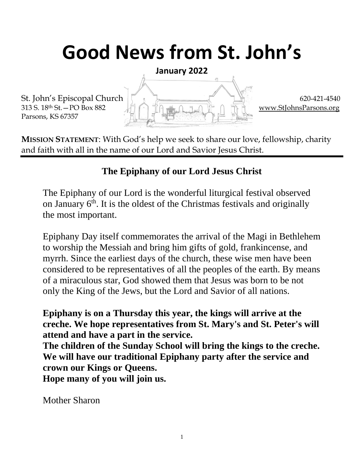# **Good News from St. John's**

**January 2022**

Parsons, KS 67357

St. John's Episcopal Church  $\begin{bmatrix} 1 & 1 \end{bmatrix}$  620-421-4540 313 S. 18<sup>th</sup> St. – PO Box 882  $\Box$  in  $\Box$  in  $\Box$  in  $\Box$  in  $\Box$  in  $\Box$  in  $\Box$  [www.StJohnsParsons.org](http://www.stjohnsparsons.org/)

**MISSION STATEMENT**: With God's help we seek to share our love, fellowship, charity and faith with all in the name of our Lord and Savior Jesus Christ.

### **The Epiphany of our Lord Jesus Christ**

The Epiphany of our Lord is the wonderful liturgical festival observed on January  $6<sup>th</sup>$ . It is the oldest of the Christmas festivals and originally the most important.

Epiphany Day itself commemorates the arrival of the Magi in Bethlehem to worship the Messiah and bring him gifts of gold, frankincense, and myrrh. Since the earliest days of the church, these wise men have been considered to be representatives of all the peoples of the earth. By means of a miraculous star, God showed them that Jesus was born to be not only the King of the Jews, but the Lord and Savior of all nations.

**Epiphany is on a Thursday this year, the kings will arrive at the creche. We hope representatives from St. Mary's and St. Peter's will attend and have a part in the service.**

**The children of the Sunday School will bring the kings to the creche. We will have our traditional Epiphany party after the service and crown our Kings or Queens.**

**Hope many of you will join us.**

Mother Sharon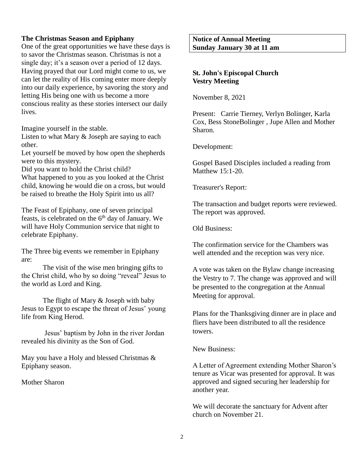#### **The Christmas Season and Epiphany**

One of the great opportunities we have these days is to savor the Christmas season. Christmas is not a single day; it's a season over a period of 12 days. Having prayed that our Lord might come to us, we can let the reality of His coming enter more deeply into our daily experience, by savoring the story and letting His being one with us become a more conscious reality as these stories intersect our daily lives.

Imagine yourself in the stable.

Listen to what Mary & Joseph are saying to each other.

Let yourself be moved by how open the shepherds were to this mystery.

Did you want to hold the Christ child?

What happened to you as you looked at the Christ child, knowing he would die on a cross, but would be raised to breathe the Holy Spirit into us all?

The Feast of Epiphany, one of seven principal feasts, is celebrated on the  $6<sup>th</sup>$  day of January. We will have Holy Communion service that night to celebrate Epiphany.

The Three big events we remember in Epiphany are:

The visit of the wise men bringing gifts to the Christ child, who by so doing "reveal" Jesus to the world as Lord and King.

The flight of Mary & Joseph with baby Jesus to Egypt to escape the threat of Jesus' young life from King Herod.

Jesus' baptism by John in the river Jordan revealed his divinity as the Son of God.

May you have a Holy and blessed Christmas & Epiphany season.

Mother Sharon

**Notice of Annual Meeting Sunday January 30 at 11 am**

#### **St. John's Episcopal Church Vestry Meeting**

November 8, 2021

Present: Carrie Tierney, Verlyn Bolinger, Karla Cox, Bess StoneBolinger , Jupe Allen and Mother Sharon.

Development:

Gospel Based Disciples included a reading from Matthew 15:1-20.

Treasurer's Report:

The transaction and budget reports were reviewed. The report was approved.

Old Business:

The confirmation service for the Chambers was well attended and the reception was very nice.

A vote was taken on the Bylaw change increasing the Vestry to 7. The change was approved and will be presented to the congregation at the Annual Meeting for approval.

Plans for the Thanksgiving dinner are in place and fliers have been distributed to all the residence towers.

New Business:

A Letter of Agreement extending Mother Sharon's tenure as Vicar was presented for approval. It was approved and signed securing her leadership for another year.

We will decorate the sanctuary for Advent after church on November 21.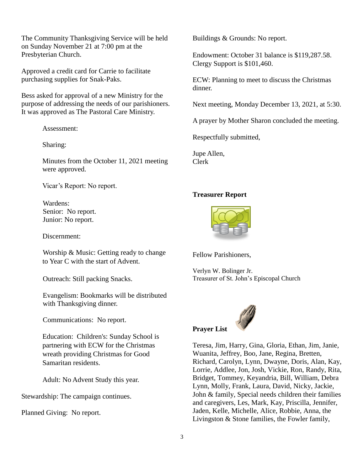The Community Thanksgiving Service will be held on Sunday November 21 at 7:00 pm at the Presbyterian Church.

Approved a credit card for Carrie to facilitate purchasing supplies for Snak-Paks.

Bess asked for approval of a new Ministry for the purpose of addressing the needs of our parishioners. It was approved as The Pastoral Care Ministry.

Assessment:

Sharing:

Minutes from the October 11, 2021 meeting were approved.

Vicar's Report: No report.

Wardens: Senior: No report. Junior: No report.

Discernment:

Worship & Music: Getting ready to change to Year C with the start of Advent.

Outreach: Still packing Snacks.

Evangelism: Bookmarks will be distributed with Thanksgiving dinner.

Communications: No report.

Education: Children's: Sunday School is partnering with ECW for the Christmas wreath providing Christmas for Good Samaritan residents.

Adult: No Advent Study this year.

Stewardship: The campaign continues.

Planned Giving: No report.

Buildings & Grounds: No report.

Endowment: October 31 balance is \$119,287.58. Clergy Support is \$101,460.

ECW: Planning to meet to discuss the Christmas dinner.

Next meeting, Monday December 13, 2021, at 5:30.

A prayer by Mother Sharon concluded the meeting.

Respectfully submitted,

Jupe Allen, Clerk

#### **Treasurer Report**



Fellow Parishioners,

Verlyn W. Bolinger Jr. Treasurer of St. John's Episcopal Church



Teresa, Jim, Harry, Gina, Gloria, Ethan, Jim, Janie, Wuanita, Jeffrey, Boo, Jane, Regina, Bretten, Richard, Carolyn, Lynn, Dwayne, Doris, Alan, Kay, Lorrie, Addlee, Jon, Josh, Vickie, Ron, Randy, Rita, Bridget, Tommey, Keyandria, Bill, William, Debra Lynn, Molly, Frank, Laura, David, Nicky, Jackie, John & family, Special needs children their families and caregivers, Les, Mark, Kay, Priscilla, Jennifer, Jaden, Kelle, Michelle, Alice, Robbie, Anna, the Livingston & Stone families, the Fowler family,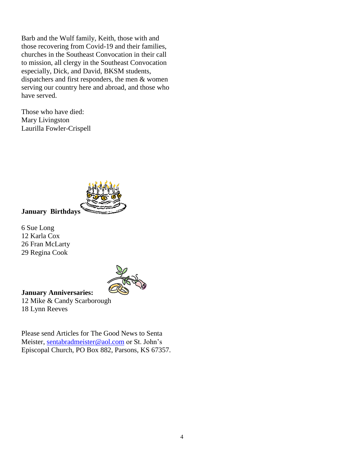Barb and the Wulf family, Keith, those with and those recovering from Covid-19 and their families, churches in the Southeast Convocation in their call to mission, all clergy in the Southeast Convocation especially, Dick, and David, BKSM students, dispatchers and first responders, the men & women serving our country here and abroad, and those who have served.

Those who have died: Mary Livingston Laurilla Fowler-Crispell



**January Birthdays**

6 Sue Long 12 Karla Cox 26 Fran McLarty 29 Regina Cook



**January Anniversaries:** 12 Mike & Candy Scarborough

18 Lynn Reeves

Please send Articles for The Good News to Senta Meister, [sentabradmeister@aol.com](mailto:sentabradmeister@aol.com) or St. John's Episcopal Church, PO Box 882, Parsons, KS 67357.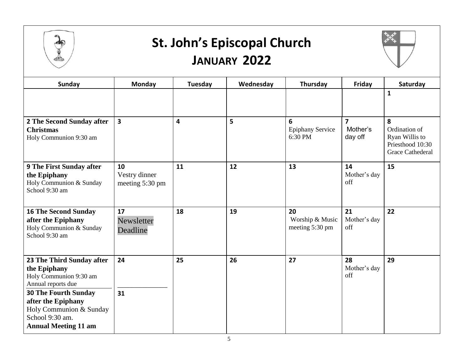

### **St. John's Episcopal Church JANUARY 2022**



| <b>Sunday</b>                                                                                                                                                                                                               | Monday                                 | Tuesday | Wednesday | Thursday                                 | Friday                                         | Saturday                                                                            |
|-----------------------------------------------------------------------------------------------------------------------------------------------------------------------------------------------------------------------------|----------------------------------------|---------|-----------|------------------------------------------|------------------------------------------------|-------------------------------------------------------------------------------------|
|                                                                                                                                                                                                                             |                                        |         |           |                                          |                                                | $\mathbf{1}$                                                                        |
| 2 The Second Sunday after<br><b>Christmas</b><br>Holy Communion 9:30 am                                                                                                                                                     | $\overline{\mathbf{3}}$                | 4       | 5         | 6<br><b>Epiphany Service</b><br>6:30 PM  | $\overline{\mathbf{z}}$<br>Mother's<br>day off | 8<br>Ordination of<br>Ryan Willis to<br>Priesthood 10:30<br><b>Grace Cathederal</b> |
| <b>9 The First Sunday after</b><br>the Epiphany<br>Holy Communion & Sunday<br>School 9:30 am                                                                                                                                | 10<br>Vestry dinner<br>meeting 5:30 pm | 11      | 12        | 13                                       | 14<br>Mother's day<br>off                      | 15                                                                                  |
| <b>16 The Second Sunday</b><br>after the Epiphany<br>Holy Communion & Sunday<br>School 9:30 am                                                                                                                              | 17<br>Newsletter<br>Deadline           | 18      | 19        | 20<br>Worship & Music<br>meeting 5:30 pm | 21<br>Mother's day<br>off                      | 22                                                                                  |
| 23 The Third Sunday after<br>the Epiphany<br>Holy Communion 9:30 am<br>Annual reports due<br><b>30 The Fourth Sunday</b><br>after the Epiphany<br>Holy Communion & Sunday<br>School 9:30 am.<br><b>Annual Meeting 11 am</b> | 24<br>31                               | 25      | 26        | 27                                       | 28<br>Mother's day<br>off                      | 29                                                                                  |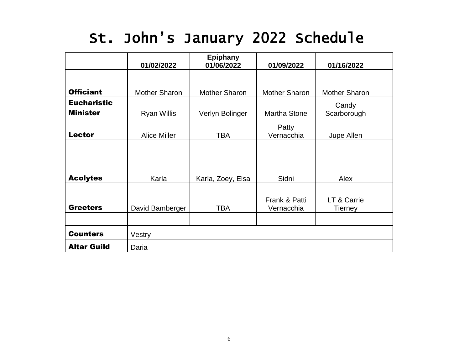## St. John's January 2022 Schedule

|                    | 01/02/2022           | <b>Epiphany</b><br>01/06/2022 | 01/09/2022                  |                        |  |  |  |
|--------------------|----------------------|-------------------------------|-----------------------------|------------------------|--|--|--|
|                    |                      |                               |                             | 01/16/2022             |  |  |  |
| <b>Officiant</b>   | <b>Mother Sharon</b> | <b>Mother Sharon</b>          | <b>Mother Sharon</b>        | <b>Mother Sharon</b>   |  |  |  |
| <b>Eucharistic</b> |                      |                               |                             | Candy                  |  |  |  |
| <b>Minister</b>    | <b>Ryan Willis</b>   | Verlyn Bolinger               | <b>Martha Stone</b>         | Scarborough            |  |  |  |
| <b>Lector</b>      | <b>Alice Miller</b>  | <b>TBA</b>                    | Patty<br>Vernacchia         | Jupe Allen             |  |  |  |
| <b>Acolytes</b>    | Karla                | Karla, Zoey, Elsa             | Sidni                       | Alex                   |  |  |  |
| <b>Greeters</b>    | David Bamberger      | TBA                           | Frank & Patti<br>Vernacchia | LT & Carrie<br>Tierney |  |  |  |
| <b>Counters</b>    | Vestry               |                               |                             |                        |  |  |  |
| <b>Altar Guild</b> | Daria                |                               |                             |                        |  |  |  |